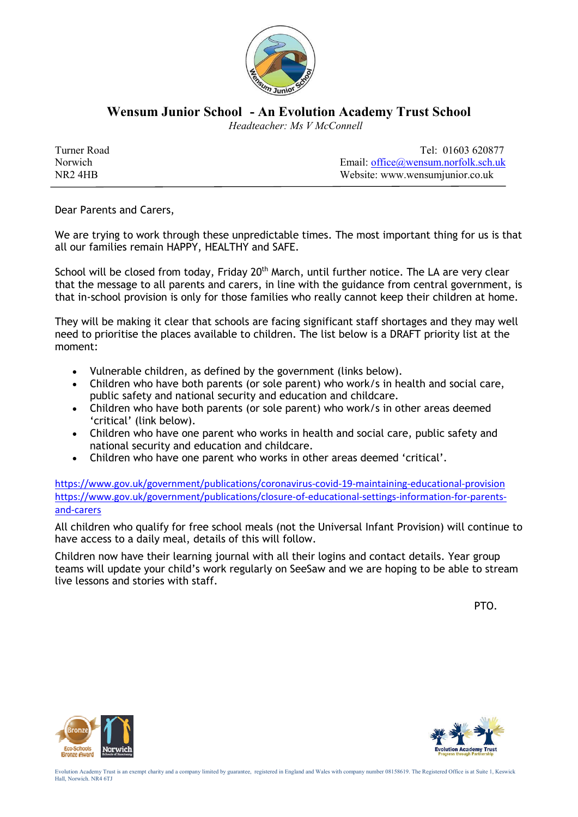

**Wensum Junior School - An Evolution Academy Trust School**

 *Headteacher: Ms V McConnell*

| Turner Road         | Tel: 01603 620877                             |
|---------------------|-----------------------------------------------|
| Norwich             | Email: $office(\omega)$ wensum.norfolk.sch.uk |
| NR <sub>2</sub> 4HB | Website: www.wensumjunior.co.uk               |

Dear Parents and Carers,

We are trying to work through these unpredictable times. The most important thing for us is that all our families remain HAPPY, HEALTHY and SAFE.

School will be closed from today, Friday 20<sup>th</sup> March, until further notice. The LA are very clear that the message to all parents and carers, in line with the guidance from central government, is that in-school provision is only for those families who really cannot keep their children at home.

They will be making it clear that schools are facing significant staff shortages and they may well need to prioritise the places available to children. The list below is a DRAFT priority list at the moment:

- Vulnerable children, as defined by the government (links below).
- Children who have both parents (or sole parent) who work/s in health and social care, public safety and national security and education and childcare.
- Children who have both parents (or sole parent) who work/s in other areas deemed 'critical' (link below).
- Children who have one parent who works in health and social care, public safety and national security and education and childcare.
- Children who have one parent who works in other areas deemed 'critical'.

https://www.gov.uk/government/publications/coronavirus-covid-19-maintaining-educational-provision https://www.gov.uk/government/publications/closure-of-educational-settings-information-for-parentsand-carers

All children who qualify for free school meals (not the Universal Infant Provision) will continue to have access to a daily meal, details of this will follow.

Children now have their learning journal with all their logins and contact details. Year group teams will update your child's work regularly on SeeSaw and we are hoping to be able to stream live lessons and stories with staff.

PTO.